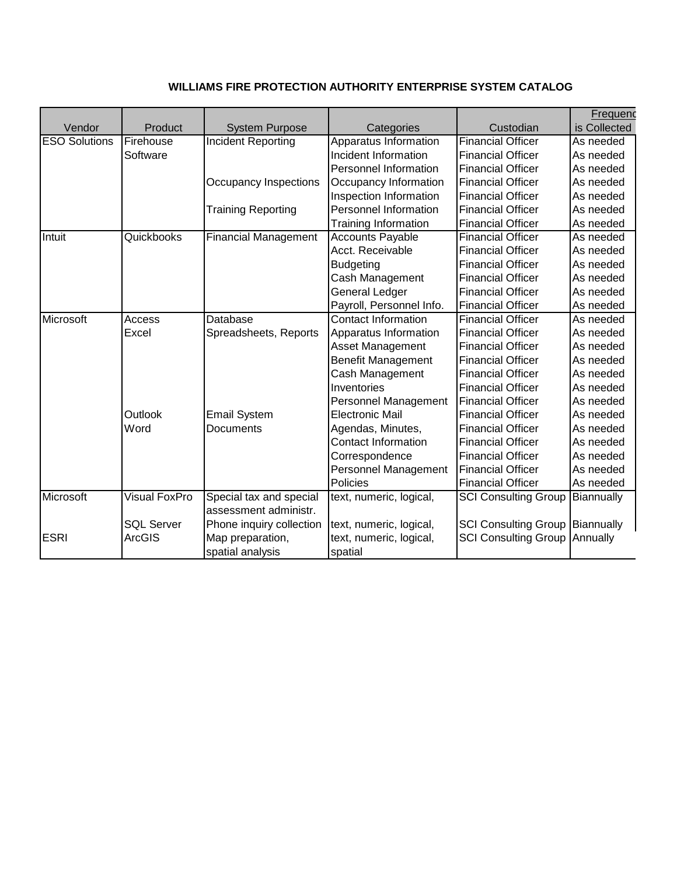## **WILLIAMS FIRE PROTECTION AUTHORITY ENTERPRISE SYSTEM CATALOG**

|                      |                      |                                                  |                             |                                      | Frequend     |
|----------------------|----------------------|--------------------------------------------------|-----------------------------|--------------------------------------|--------------|
| Vendor               | Product              | <b>System Purpose</b>                            | Categories                  | Custodian                            | is Collected |
| <b>ESO Solutions</b> | Firehouse            | <b>Incident Reporting</b>                        | Apparatus Information       | <b>Financial Officer</b>             | As needed    |
|                      | Software             |                                                  | Incident Information        | <b>Financial Officer</b>             | As needed    |
|                      |                      |                                                  | Personnel Information       | <b>Financial Officer</b>             | As needed    |
|                      |                      | Occupancy Inspections                            | Occupancy Information       | <b>Financial Officer</b>             | As needed    |
|                      |                      |                                                  | Inspection Information      | <b>Financial Officer</b>             | As needed    |
|                      |                      | <b>Training Reporting</b>                        | Personnel Information       | <b>Financial Officer</b>             | As needed    |
|                      |                      |                                                  | <b>Training Information</b> | <b>Financial Officer</b>             | As needed    |
| Intuit               | Quickbooks           | <b>Financial Management</b>                      | <b>Accounts Payable</b>     | <b>Financial Officer</b>             | As needed    |
|                      |                      |                                                  | Acct. Receivable            | <b>Financial Officer</b>             | As needed    |
|                      |                      |                                                  | <b>Budgeting</b>            | <b>Financial Officer</b>             | As needed    |
|                      |                      |                                                  | Cash Management             | <b>Financial Officer</b>             | As needed    |
|                      |                      |                                                  | General Ledger              | <b>Financial Officer</b>             | As needed    |
|                      |                      |                                                  | Payroll, Personnel Info.    | <b>Financial Officer</b>             | As needed    |
| Microsoft            | Access               | Database                                         | <b>Contact Information</b>  | <b>Financial Officer</b>             | As needed    |
|                      | Excel                | Spreadsheets, Reports                            | Apparatus Information       | <b>Financial Officer</b>             | As needed    |
|                      |                      |                                                  | Asset Management            | <b>Financial Officer</b>             | As needed    |
|                      |                      |                                                  | <b>Benefit Management</b>   | <b>Financial Officer</b>             | As needed    |
|                      |                      |                                                  | Cash Management             | <b>Financial Officer</b>             | As needed    |
|                      |                      |                                                  | Inventories                 | <b>Financial Officer</b>             | As needed    |
|                      |                      |                                                  | Personnel Management        | <b>Financial Officer</b>             | As needed    |
|                      | Outlook              | <b>Email System</b>                              | <b>Electronic Mail</b>      | <b>Financial Officer</b>             | As needed    |
|                      | Word                 | Documents                                        | Agendas, Minutes,           | <b>Financial Officer</b>             | As needed    |
|                      |                      |                                                  | <b>Contact Information</b>  | <b>Financial Officer</b>             | As needed    |
|                      |                      |                                                  | Correspondence              | <b>Financial Officer</b>             | As needed    |
|                      |                      |                                                  | Personnel Management        | <b>Financial Officer</b>             | As needed    |
|                      |                      |                                                  | Policies                    | <b>Financial Officer</b>             | As needed    |
| Microsoft            | <b>Visual FoxPro</b> | Special tax and special<br>assessment administr. | text, numeric, logical,     | <b>SCI Consulting Group</b>          | Biannually   |
|                      | <b>SQL Server</b>    | Phone inquiry collection                         | text, numeric, logical,     | SCI Consulting Group Biannually      |              |
| <b>ESRI</b>          | <b>ArcGIS</b>        | Map preparation,                                 | text, numeric, logical,     | <b>SCI Consulting Group Annually</b> |              |
|                      |                      | spatial analysis                                 | spatial                     |                                      |              |